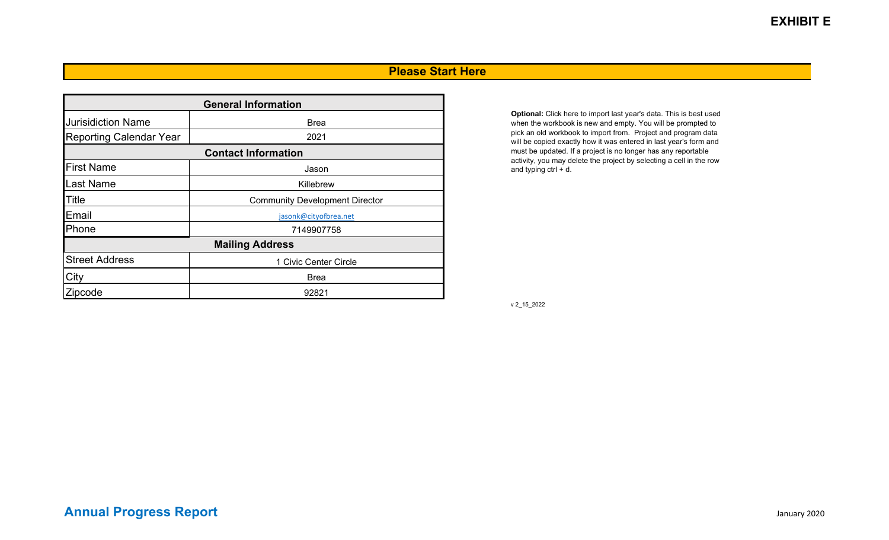#### **Please Start Here**

| <b>General Information</b>     |                                       |  |  |  |  |  |  |  |  |  |
|--------------------------------|---------------------------------------|--|--|--|--|--|--|--|--|--|
| <b>Jurisidiction Name</b>      | <b>Brea</b>                           |  |  |  |  |  |  |  |  |  |
| <b>Reporting Calendar Year</b> | 2021                                  |  |  |  |  |  |  |  |  |  |
|                                | <b>Contact Information</b>            |  |  |  |  |  |  |  |  |  |
| <b>First Name</b>              | Jason                                 |  |  |  |  |  |  |  |  |  |
| <b>Last Name</b>               | Killebrew                             |  |  |  |  |  |  |  |  |  |
| <b>Title</b>                   | <b>Community Development Director</b> |  |  |  |  |  |  |  |  |  |
| Email                          | jasonk@cityofbrea.net                 |  |  |  |  |  |  |  |  |  |
| Phone                          | 7149907758                            |  |  |  |  |  |  |  |  |  |
|                                | <b>Mailing Address</b>                |  |  |  |  |  |  |  |  |  |
| <b>Street Address</b>          | 1 Civic Center Circle                 |  |  |  |  |  |  |  |  |  |
| City                           | <b>Brea</b>                           |  |  |  |  |  |  |  |  |  |
| Zipcode                        | 92821                                 |  |  |  |  |  |  |  |  |  |

**Optional:** Click here to import last year's data. This is best used when the workbook is new and empty. You will be prompted to pick an old workbook to import from. Project and program data will be copied exactly how it was entered in last year's form and must be updated. If a project is no longer has any reportable activity, you may delete the project by selecting a cell in the row and typing ctrl + d.

v 2\_15\_2022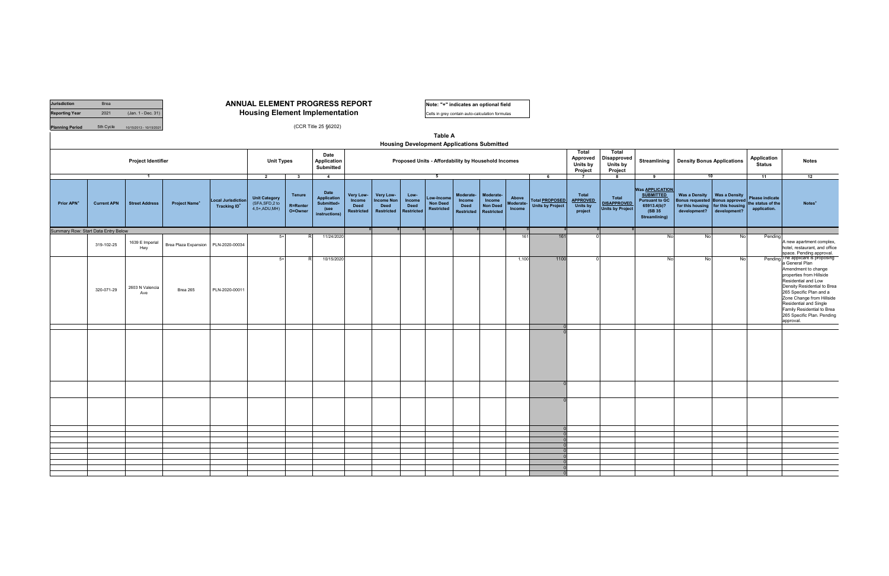| <b>Jurisdiction</b>                 | Brea               |                           |                                 |                                                       | <b>ANNUAL ELEMENT PROGRESS REPORT</b>                   |                               |                                                                          |                                                         |                                                                    |                                                    | Note: "+" indicates an optional field                               |                                                                |                                                             |                              |                                                  |                                                        |                                                               |                                                                                                                       |                                   |                                                                                                     |                                                             |                                                                                                                                                                                                                                                                                    |
|-------------------------------------|--------------------|---------------------------|---------------------------------|-------------------------------------------------------|---------------------------------------------------------|-------------------------------|--------------------------------------------------------------------------|---------------------------------------------------------|--------------------------------------------------------------------|----------------------------------------------------|---------------------------------------------------------------------|----------------------------------------------------------------|-------------------------------------------------------------|------------------------------|--------------------------------------------------|--------------------------------------------------------|---------------------------------------------------------------|-----------------------------------------------------------------------------------------------------------------------|-----------------------------------|-----------------------------------------------------------------------------------------------------|-------------------------------------------------------------|------------------------------------------------------------------------------------------------------------------------------------------------------------------------------------------------------------------------------------------------------------------------------------|
| <b>Reporting Year</b>               | 2021               | (Jan. 1 - Dec. 31)        |                                 |                                                       | <b>Housing Element Implementation</b>                   |                               |                                                                          |                                                         |                                                                    |                                                    | Cells in grey contain auto-calculation formulas                     |                                                                |                                                             |                              |                                                  |                                                        |                                                               |                                                                                                                       |                                   |                                                                                                     |                                                             |                                                                                                                                                                                                                                                                                    |
| <b>Planning Period</b>              | 5th Cycle          | 10/15/2013 - 10/15/2021   |                                 |                                                       |                                                         |                               | (CCR Title 25 §6202)                                                     |                                                         |                                                                    |                                                    | <b>Table A</b><br><b>Housing Development Applications Submitted</b> |                                                                |                                                             |                              |                                                  |                                                        |                                                               |                                                                                                                       |                                   |                                                                                                     |                                                             |                                                                                                                                                                                                                                                                                    |
|                                     |                    | <b>Project Identifier</b> |                                 |                                                       | <b>Unit Types</b>                                       |                               | Date<br>Application<br><b>Submitted</b>                                  |                                                         |                                                                    |                                                    | Proposed Units - Affordability by Household Incomes                 |                                                                |                                                             |                              |                                                  | Total<br>Approved<br>Units by<br>Project               | Total<br><b>Disapproved</b><br>Units by<br>Project            | Streamlining                                                                                                          | <b>Density Bonus Applications</b> |                                                                                                     | Application<br>Status                                       | <b>Notes</b>                                                                                                                                                                                                                                                                       |
|                                     |                    | $\overline{\mathbf{1}}$   |                                 |                                                       | $\overline{2}$                                          | $\overline{\mathbf{3}}$       | $\overline{4}$                                                           |                                                         |                                                                    |                                                    | 5                                                                   |                                                                |                                                             |                              | 6                                                | $\overline{7}$                                         | 8                                                             | 9                                                                                                                     | 10                                |                                                                                                     | 11                                                          | 12                                                                                                                                                                                                                                                                                 |
| Prior APN <sup>+</sup>              | <b>Current APN</b> | <b>Street Address</b>     | <b>Project Name<sup>+</sup></b> | <b>Local Jurisdiction</b><br>Tracking ID <sup>+</sup> | <b>Unit Category</b><br>(SFA, SFD, 2 to<br>4,5+,ADU,MH) | Tenure<br>R=Renter<br>O=Owner | <b>Date</b><br><b>Application</b><br>Submitted+<br>(see<br>instructions) | Very Low-<br>Income<br><b>Deed</b><br><b>Restricted</b> | Very Low-<br><b>Income Non</b><br><b>Deed</b><br><b>Restricted</b> | Low-<br>Income<br><b>Deed</b><br><b>Restricted</b> | Low-Incom<br><b>Non Deed</b><br>Restricted                          | Moderate-<br><b>Income</b><br><b>Deed</b><br><b>Restricted</b> | Moderate-<br>Income<br><b>Non Deed</b><br><b>Restricted</b> | Above<br>Moderate-<br>Income | <b>Total PROPOSED</b><br><b>Units by Project</b> | Total<br><b>APPROVED</b><br><b>Units by</b><br>project | <b>Total</b><br><b>DISAPPROVED</b><br><b>Units by Project</b> | <b>Was APPLICATION</b><br><b>SUBMITTED</b><br><b>Pursuant to GC</b><br>65913.4(b)?<br>(SB 35)<br><b>Streamlining)</b> | for this housing<br>development?  | Was a Density   Was a Density<br>Bonus requested Bonus approved<br>for this housing<br>development? | <b>Please indicate</b><br>the status of the<br>application. | Notes <sup>+</sup>                                                                                                                                                                                                                                                                 |
| Summary Row: Start Data Entry Below |                    |                           |                                 |                                                       |                                                         |                               |                                                                          |                                                         |                                                                    |                                                    |                                                                     |                                                                |                                                             |                              |                                                  |                                                        |                                                               |                                                                                                                       |                                   |                                                                                                     |                                                             |                                                                                                                                                                                                                                                                                    |
|                                     | 319-102-25         | 1639 E Imperia<br>Hwy     | Brea Plaza Expansion            | PLN-2020-00034                                        | $5+$                                                    |                               | 11/24/2020                                                               |                                                         |                                                                    |                                                    |                                                                     |                                                                |                                                             | 161                          | 161                                              |                                                        |                                                               | No                                                                                                                    | No                                | No                                                                                                  | Pending                                                     | A new apartment complex,<br>hotel, restaurant, and office<br>space. Pending approval.<br>Pending The applicant is proposing                                                                                                                                                        |
|                                     | 320-071-29         | 2603 N Valencia<br>Ave    | Brea 265                        | PLN-2020-00011                                        | $5+$                                                    |                               | 10/15/2020                                                               |                                                         |                                                                    |                                                    |                                                                     |                                                                |                                                             | 1,100                        | 1100                                             |                                                        |                                                               | <b>No</b>                                                                                                             | No                                | No                                                                                                  |                                                             | a General Plan<br>Amendment to change<br>properties from Hillside<br>Residential and Low<br>Density Residential to Brea<br>265 Specific Plan and a<br>Zone Change from Hillside<br>Residential and Single<br>Family Residential to Brea<br>265 Specific Plan. Pending<br>approval. |
|                                     |                    |                           |                                 |                                                       |                                                         |                               |                                                                          |                                                         |                                                                    |                                                    |                                                                     |                                                                |                                                             |                              |                                                  |                                                        |                                                               |                                                                                                                       |                                   |                                                                                                     |                                                             |                                                                                                                                                                                                                                                                                    |
|                                     |                    |                           |                                 |                                                       |                                                         |                               |                                                                          |                                                         |                                                                    |                                                    |                                                                     |                                                                |                                                             |                              |                                                  |                                                        |                                                               |                                                                                                                       |                                   |                                                                                                     |                                                             |                                                                                                                                                                                                                                                                                    |
|                                     |                    |                           |                                 |                                                       |                                                         |                               |                                                                          |                                                         |                                                                    |                                                    |                                                                     |                                                                |                                                             |                              |                                                  |                                                        |                                                               |                                                                                                                       |                                   |                                                                                                     |                                                             |                                                                                                                                                                                                                                                                                    |
|                                     |                    |                           |                                 |                                                       |                                                         |                               |                                                                          |                                                         |                                                                    |                                                    |                                                                     |                                                                |                                                             |                              |                                                  |                                                        |                                                               |                                                                                                                       |                                   |                                                                                                     |                                                             |                                                                                                                                                                                                                                                                                    |
|                                     |                    |                           |                                 |                                                       |                                                         |                               |                                                                          |                                                         |                                                                    |                                                    |                                                                     |                                                                |                                                             |                              |                                                  |                                                        |                                                               |                                                                                                                       |                                   |                                                                                                     |                                                             |                                                                                                                                                                                                                                                                                    |
|                                     |                    |                           |                                 |                                                       |                                                         |                               |                                                                          |                                                         |                                                                    |                                                    |                                                                     |                                                                |                                                             |                              |                                                  |                                                        |                                                               |                                                                                                                       |                                   |                                                                                                     |                                                             |                                                                                                                                                                                                                                                                                    |
|                                     |                    |                           |                                 |                                                       |                                                         |                               |                                                                          |                                                         |                                                                    |                                                    |                                                                     |                                                                |                                                             |                              |                                                  |                                                        |                                                               |                                                                                                                       |                                   |                                                                                                     |                                                             |                                                                                                                                                                                                                                                                                    |
|                                     |                    |                           |                                 |                                                       |                                                         |                               |                                                                          |                                                         |                                                                    |                                                    |                                                                     |                                                                |                                                             |                              |                                                  |                                                        |                                                               |                                                                                                                       |                                   |                                                                                                     |                                                             |                                                                                                                                                                                                                                                                                    |
|                                     |                    |                           |                                 |                                                       |                                                         |                               |                                                                          |                                                         |                                                                    |                                                    |                                                                     |                                                                |                                                             |                              |                                                  |                                                        |                                                               |                                                                                                                       |                                   |                                                                                                     |                                                             |                                                                                                                                                                                                                                                                                    |
|                                     |                    |                           |                                 |                                                       |                                                         |                               |                                                                          |                                                         |                                                                    |                                                    |                                                                     |                                                                |                                                             |                              |                                                  |                                                        |                                                               |                                                                                                                       |                                   |                                                                                                     |                                                             |                                                                                                                                                                                                                                                                                    |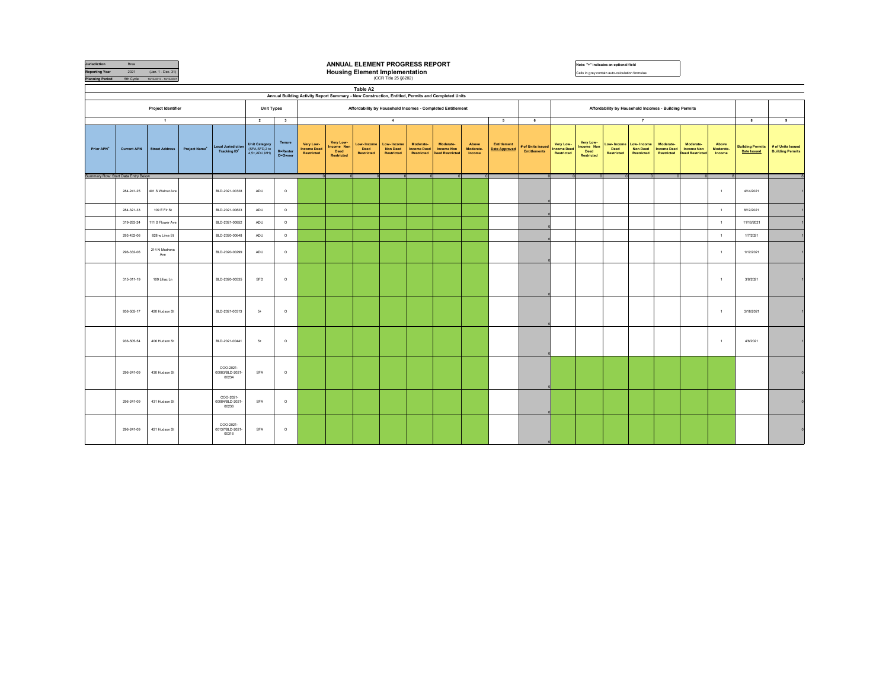| Jurisdiction<br><b>Reporting Year</b><br><b>Planning Period</b> | Brea<br>2021<br>5th Cycle | (Jan. 1 - Dec. 31)<br>10/15/2013 - 10/15/2021 |               | ANNUAL ELEMENT PROGRESS REPORT<br>Note: "+" indicates an optional field<br><b>Housing Element Implementation</b><br>Cells in grey contain auto-calculation formulas<br>(CCR Title 25 §6202) |                                                 |                                       |                                               |                                               |                                  |                                             |                                               |                                                                                                                                                                 |                              |                                            |                                        |                                               |                                               |                                 |                                                    |                                                       |                                                          |                              |                                               |                                              |
|-----------------------------------------------------------------|---------------------------|-----------------------------------------------|---------------|---------------------------------------------------------------------------------------------------------------------------------------------------------------------------------------------|-------------------------------------------------|---------------------------------------|-----------------------------------------------|-----------------------------------------------|----------------------------------|---------------------------------------------|-----------------------------------------------|-----------------------------------------------------------------------------------------------------------------------------------------------------------------|------------------------------|--------------------------------------------|----------------------------------------|-----------------------------------------------|-----------------------------------------------|---------------------------------|----------------------------------------------------|-------------------------------------------------------|----------------------------------------------------------|------------------------------|-----------------------------------------------|----------------------------------------------|
|                                                                 |                           |                                               |               |                                                                                                                                                                                             |                                                 |                                       |                                               |                                               | Table A2                         |                                             |                                               |                                                                                                                                                                 |                              |                                            |                                        |                                               |                                               |                                 |                                                    |                                                       |                                                          |                              |                                               |                                              |
|                                                                 |                           | <b>Project Identifier</b>                     |               |                                                                                                                                                                                             | <b>Unit Types</b>                               |                                       |                                               |                                               |                                  |                                             |                                               | Annual Building Activity Report Summary - New Construction, Entitled, Permits and Completed Units<br>Affordability by Household Incomes - Completed Entitlement |                              |                                            |                                        |                                               |                                               |                                 |                                                    | Affordability by Household Incomes - Building Permits |                                                          |                              |                                               |                                              |
|                                                                 |                           |                                               |               |                                                                                                                                                                                             |                                                 |                                       |                                               |                                               |                                  |                                             |                                               |                                                                                                                                                                 |                              |                                            |                                        |                                               |                                               |                                 |                                                    |                                                       |                                                          |                              |                                               |                                              |
|                                                                 |                           | $\mathbf{1}$                                  |               |                                                                                                                                                                                             | $\overline{2}$                                  | $\overline{\mathbf{3}}$               |                                               |                                               |                                  | $\blacktriangleleft$                        |                                               |                                                                                                                                                                 |                              | 5                                          | 6                                      |                                               |                                               |                                 | $\overline{7}$                                     |                                                       |                                                          |                              | 8                                             | 9                                            |
| Prior APN <sup>*</sup>                                          | <b>Current APN</b>        | <b>Street Address</b>                         | Project Name* | <b>Local Jurisdiction</b><br>Tracking ID <sup>+</sup>                                                                                                                                       | Unit Category<br>(SFA,SFD,2 to<br>4,5+ ADU, MH) | Tenure<br><b>R</b> =Renter<br>O=Owner | Very Low-<br><b>Income Deed</b><br>Restricted | Very Low-<br>Income Non<br>Deed<br>Restricted | Low-Income<br>Deed<br>Restricted | Low-Income<br><b>Non Deed</b><br>Restricted | Moderate-<br><b>Income Deed</b><br>Restricted | Moderate-<br><b>Income Non</b><br><b>Deed Restricted</b>                                                                                                        | Above<br>Moderate-<br>Income | <b>Entitlement</b><br><b>Date Approved</b> | of Units issued<br><b>Entitlements</b> | Very Low-<br><b>Income Deed</b><br>Restricted | Very Low-<br>Income Non<br>Deed<br>Restricted | ow-Income<br>Deed<br>Restricted | .ow-Income<br><b>Non Deed</b><br><b>Restricted</b> | Moderate-<br><b>Income Deed</b><br>Restricted         | Moderate-<br><b>Income Non</b><br><b>Deed Restricter</b> | Above<br>Moderate-<br>Income | <b>Building Permits</b><br><b>Date Issued</b> | # of Units Issued<br><b>Building Permits</b> |
| Summary Row: Start Data Entry Below                             |                           |                                               |               |                                                                                                                                                                                             |                                                 |                                       |                                               |                                               | $\Omega$                         |                                             |                                               |                                                                                                                                                                 |                              |                                            |                                        |                                               |                                               |                                 |                                                    |                                                       |                                                          |                              |                                               |                                              |
|                                                                 | 284-241-25                | 401 S Walnut Ave                              |               | BLD-2021-00328                                                                                                                                                                              | ADU                                             | $\circ$                               |                                               |                                               |                                  |                                             |                                               |                                                                                                                                                                 |                              |                                            |                                        |                                               |                                               |                                 |                                                    |                                                       |                                                          | $\overline{1}$               | 4/14/2021                                     |                                              |
|                                                                 | 284-321-33                | 109 E Fir St                                  |               | BLD-2021-00823                                                                                                                                                                              | ADU                                             | $\circ$                               |                                               |                                               |                                  |                                             |                                               |                                                                                                                                                                 |                              |                                            |                                        |                                               |                                               |                                 |                                                    |                                                       |                                                          | $\overline{1}$               | 8/12/2021                                     |                                              |
|                                                                 | 319-283-24                | 111 S Flower Ave                              |               | BLD-2021-00852                                                                                                                                                                              | ADU                                             | $\circ$                               |                                               |                                               |                                  |                                             |                                               |                                                                                                                                                                 |                              |                                            |                                        |                                               |                                               |                                 |                                                    |                                                       |                                                          | $\overline{1}$               | 11/16/2021                                    |                                              |
|                                                                 | 293-432-06                | 828 w Lime St                                 |               | BLD-2020-00648                                                                                                                                                                              | ADU                                             | $\circ$                               |                                               |                                               |                                  |                                             |                                               |                                                                                                                                                                 |                              |                                            |                                        |                                               |                                               |                                 |                                                    |                                                       |                                                          | $\overline{1}$               | 1/7/2021                                      |                                              |
|                                                                 | 296-332-06                | 214 N Madrona<br>Ave                          |               | BLD-2020-00299                                                                                                                                                                              | ADU                                             | $\circ$                               |                                               |                                               |                                  |                                             |                                               |                                                                                                                                                                 |                              |                                            |                                        |                                               |                                               |                                 |                                                    |                                                       |                                                          | $\overline{1}$               | 1/12/2021                                     |                                              |
|                                                                 | 315-011-19                | 109 Liliac Ln                                 |               | BLD-2020-00535                                                                                                                                                                              | SFD                                             | $\circ$                               |                                               |                                               |                                  |                                             |                                               |                                                                                                                                                                 |                              |                                            |                                        |                                               |                                               |                                 |                                                    |                                                       |                                                          | $\overline{1}$               | 3/8/2021                                      |                                              |
|                                                                 | 936-505-17                | 420 Hudson St                                 |               | BLD-2021-00313                                                                                                                                                                              | $5+$                                            | $\circ$                               |                                               |                                               |                                  |                                             |                                               |                                                                                                                                                                 |                              |                                            |                                        |                                               |                                               |                                 |                                                    |                                                       |                                                          | $\overline{1}$               | 3/18/2021                                     |                                              |
|                                                                 | 936-505-54                | 406 Hudson St                                 |               | BLD-2021-00441                                                                                                                                                                              | $5+$                                            | $\circ$                               |                                               |                                               |                                  |                                             |                                               |                                                                                                                                                                 |                              |                                            |                                        |                                               |                                               |                                 |                                                    |                                                       |                                                          | $\rightarrow$                | 4/6/2021                                      |                                              |
|                                                                 | 296-241-09                | 430 Hudson St                                 |               | COO-2021-<br>00083/BLD-2021-<br>00234                                                                                                                                                       | SFA                                             | $\circ$                               |                                               |                                               |                                  |                                             |                                               |                                                                                                                                                                 |                              |                                            |                                        |                                               |                                               |                                 |                                                    |                                                       |                                                          |                              |                                               |                                              |
|                                                                 | 296-241-09                | 431 Hudson St                                 |               | COO-2021-<br>00084/BLD-2021-<br>00236                                                                                                                                                       | SFA                                             | $\circ$                               |                                               |                                               |                                  |                                             |                                               |                                                                                                                                                                 |                              |                                            |                                        |                                               |                                               |                                 |                                                    |                                                       |                                                          |                              |                                               |                                              |
|                                                                 | 296-241-09                | 421 Hudson St                                 |               | COO-2021-<br>00137/BLD-2021-<br>00316                                                                                                                                                       | SFA                                             | $\circ$                               |                                               |                                               |                                  |                                             |                                               |                                                                                                                                                                 |                              |                                            |                                        |                                               |                                               |                                 |                                                    |                                                       |                                                          |                              |                                               |                                              |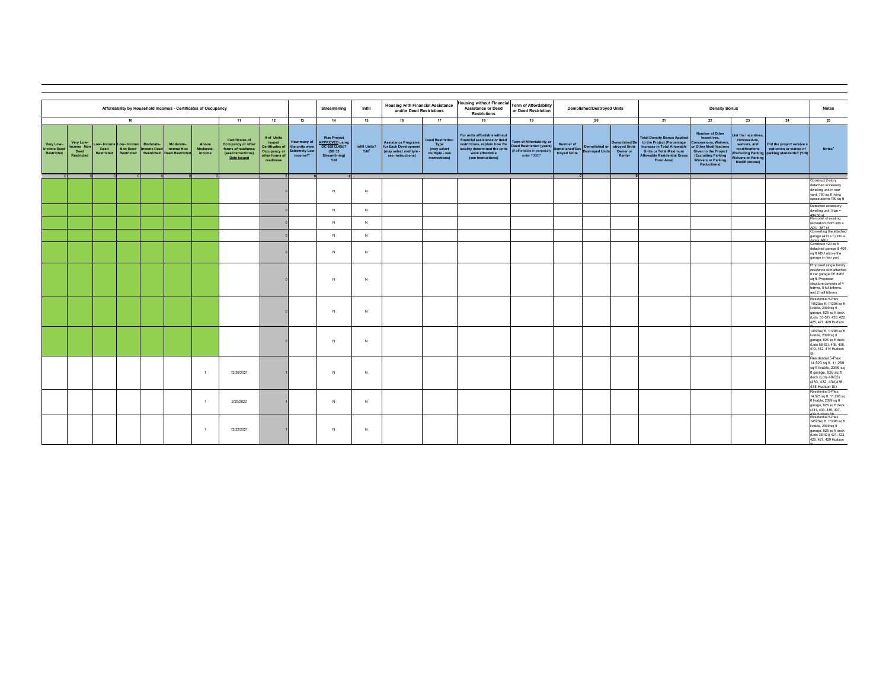|                                               |                                                     |                    |                      |           | Affordability by Household Incomes - Certificates of Occupancy                            |                              |                                                                                                         |                                                     |                                                                                         | Streamlining                                                                                           | Infill                            | <b>Housing with Financial Assistance</b><br>and/or Deed Restrictions                            |                                                                                   | <b>Housing without Financial</b><br><b>Assistance or Deed</b><br><b>Restrictions</b>                                                                                    | <b>Term of Affordability</b><br>or Deed Restriction                                                                |                                             | <b>Demolished/Destroyed Units</b> |                                                   | <b>Density Bonus</b>                                                                                                                                                                                |                                                                                                                                                                                    |                                                                                                                            | <b>Notes</b>                                                                                       |                                                                                                                                                                       |
|-----------------------------------------------|-----------------------------------------------------|--------------------|----------------------|-----------|-------------------------------------------------------------------------------------------|------------------------------|---------------------------------------------------------------------------------------------------------|-----------------------------------------------------|-----------------------------------------------------------------------------------------|--------------------------------------------------------------------------------------------------------|-----------------------------------|-------------------------------------------------------------------------------------------------|-----------------------------------------------------------------------------------|-------------------------------------------------------------------------------------------------------------------------------------------------------------------------|--------------------------------------------------------------------------------------------------------------------|---------------------------------------------|-----------------------------------|---------------------------------------------------|-----------------------------------------------------------------------------------------------------------------------------------------------------------------------------------------------------|------------------------------------------------------------------------------------------------------------------------------------------------------------------------------------|----------------------------------------------------------------------------------------------------------------------------|----------------------------------------------------------------------------------------------------|-----------------------------------------------------------------------------------------------------------------------------------------------------------------------|
|                                               |                                                     |                    | 10                   |           |                                                                                           |                              | 11                                                                                                      | 12                                                  | 13                                                                                      | 14                                                                                                     | 15                                | 16                                                                                              | 17                                                                                | 18                                                                                                                                                                      | 19                                                                                                                 |                                             | 20                                |                                                   | 21                                                                                                                                                                                                  | 22                                                                                                                                                                                 | 23                                                                                                                         | 24                                                                                                 | 25                                                                                                                                                                    |
| Very Low-<br><b>Income Deed</b><br>Restricted | Very Low-<br>ncome Non<br>Deed<br><b>Restricted</b> | Deed<br>Restricted | ow-Income Low-Income | Moderate- | Moderate-<br>Non Deed   Income Deed   Income Non<br>Restricted Restricted Deed Restricted | Above<br>Moderate-<br>Income | <b>Certificates of</b><br>Occupancy or other<br>forms of readiness<br>(see instructions)<br>Date Issued | # of Units<br>issued<br>other forms of<br>readiness | How many of<br>Certificates of the units were<br>Occupancy or Extremely Low<br>Income?* | <b>Was Project</b><br><b>APPROVED</b> using<br>GC 65913.4(b)?<br>(SB 35<br>Streamlining)<br><b>Y/N</b> | Infill Units?<br>Y/N <sup>*</sup> | <b>Assistance Programs</b><br>for Each Development<br>(may select multiple<br>see instructions) | <b>Deed Restriction</b><br>Type<br>(may select<br>multiple - see<br>instructions) | For units affordable without<br>financial assistance or deed<br>restrictions, explain how the<br>locality determined the units<br>were affordable<br>(see instructions) | <b>Term of Affordability or</b><br><b>Deed Restriction (years)</b><br>(if affordable in perpetuity<br>enter 1000)* | Number of<br>Demolished/Des<br>troyed Units | <b>Destroyed Units</b>            | Demolished or stroyed Units<br>Owner or<br>Renter | <b>Total Density Bonus Applied</b><br>Demolished/De to the Project (Percentage<br>Increase in Total Allowable<br><b>Units or Total Maximum</b><br><b>Allowable Residential Gross</b><br>Floor Area) | Number of Other<br>Incentives,<br>Concessions, Waivers,<br>or Other Modifications<br>Given to the Project<br>(Excluding Parking<br><b>Waivers or Parking</b><br><b>Reductions)</b> | List the incentives,<br>concessions,<br>waivers, and<br>modifications<br><b>Waivers or Parking</b><br><b>Modifications</b> | Did the project receive a<br>reduction or waiver of<br>(Excluding Parking parking standards? (Y/N) | Notes <sup>*</sup>                                                                                                                                                    |
|                                               |                                                     |                    |                      |           |                                                                                           |                              |                                                                                                         |                                                     |                                                                                         | N                                                                                                      | N                                 |                                                                                                 |                                                                                   |                                                                                                                                                                         |                                                                                                                    | - 01                                        |                                   |                                                   |                                                                                                                                                                                                     |                                                                                                                                                                                    |                                                                                                                            |                                                                                                    | onstruct 2-story<br>detached accessory<br>dwelling unit in rear<br>yard. 750 sq ft living<br>space above 750 sq ft                                                    |
|                                               |                                                     |                    |                      |           |                                                                                           |                              |                                                                                                         |                                                     |                                                                                         | $\mathbf{N}$                                                                                           | N                                 |                                                                                                 |                                                                                   |                                                                                                                                                                         |                                                                                                                    |                                             |                                   |                                                   |                                                                                                                                                                                                     |                                                                                                                                                                                    |                                                                                                                            |                                                                                                    | Detached accessory<br>dwelling unit. Size =<br>494 50 sf                                                                                                              |
|                                               |                                                     |                    |                      |           |                                                                                           |                              |                                                                                                         |                                                     |                                                                                         | N                                                                                                      | N                                 |                                                                                                 |                                                                                   |                                                                                                                                                                         |                                                                                                                    |                                             |                                   |                                                   |                                                                                                                                                                                                     |                                                                                                                                                                                    |                                                                                                                            |                                                                                                    | Remodel of existing<br>recreation room into a<br>ADI 1387 sf<br>Converting the attached                                                                               |
|                                               |                                                     |                    |                      |           |                                                                                           |                              |                                                                                                         |                                                     |                                                                                         | $\mathbf{N}$                                                                                           | N                                 |                                                                                                 |                                                                                   |                                                                                                                                                                         |                                                                                                                    |                                             |                                   |                                                   |                                                                                                                                                                                                     |                                                                                                                                                                                    |                                                                                                                            |                                                                                                    | garage (413 s.f.) into a<br><b>Iunior ADLL</b><br>Construct 420 sq ft                                                                                                 |
|                                               |                                                     |                    |                      |           |                                                                                           |                              |                                                                                                         |                                                     |                                                                                         | $\mathbb{N}$                                                                                           | N                                 |                                                                                                 |                                                                                   |                                                                                                                                                                         |                                                                                                                    |                                             |                                   |                                                   |                                                                                                                                                                                                     |                                                                                                                                                                                    |                                                                                                                            |                                                                                                    | detached garage & 408<br>sq ft ADU above the<br>garage in rear yard.                                                                                                  |
|                                               |                                                     |                    |                      |           |                                                                                           |                              |                                                                                                         |                                                     |                                                                                         | $\mathbb{N}$                                                                                           | $\mathbb{N}$                      |                                                                                                 |                                                                                   |                                                                                                                                                                         |                                                                                                                    |                                             |                                   |                                                   |                                                                                                                                                                                                     |                                                                                                                                                                                    |                                                                                                                            |                                                                                                    | Proposed single family<br>residence with attache<br>6 car garage OF 8962<br>sq ft. Proposed<br>structure consists of 4<br>bdrms. 5 full bthrms.<br>and 2 half bthrms. |
|                                               |                                                     |                    |                      |           |                                                                                           |                              |                                                                                                         |                                                     |                                                                                         | N                                                                                                      | N                                 |                                                                                                 |                                                                                   |                                                                                                                                                                         |                                                                                                                    |                                             |                                   |                                                   |                                                                                                                                                                                                     |                                                                                                                                                                                    |                                                                                                                            |                                                                                                    | Residential 5-Plex.<br>14523sq ft. 11298 sq f<br>livable, 2399 sq ft<br>garage, 826 sq ft deck<br>(Lots 53-57). 420, 422<br>425, 427, 429 Hudson                      |
|                                               |                                                     |                    |                      |           |                                                                                           |                              |                                                                                                         |                                                     |                                                                                         | $\mathbb{N}$                                                                                           | $\mathbb{N}$                      |                                                                                                 |                                                                                   |                                                                                                                                                                         |                                                                                                                    |                                             |                                   |                                                   |                                                                                                                                                                                                     |                                                                                                                                                                                    |                                                                                                                            |                                                                                                    | desigeniai omnex.<br>14523sq ft. 11298 sq ft<br>livable, 2399 sq ft<br>garage, 826 sq ft deck<br>(Lots 58-62). 406, 408<br>410, 412, 414 Hudson                       |
|                                               |                                                     |                    |                      |           |                                                                                           | $\rightarrow$                | 12/20/2021                                                                                              |                                                     |                                                                                         | $\mathbb{N}$                                                                                           | $\mathbb{N}$                      |                                                                                                 |                                                                                   |                                                                                                                                                                         |                                                                                                                    |                                             |                                   |                                                   |                                                                                                                                                                                                     |                                                                                                                                                                                    |                                                                                                                            |                                                                                                    | Residential 5-Plex<br>14,523 sq ft. 11,298<br>sq ft livable, 2399 so<br>ft garage, 826 sq ft<br>deck (Lots 48-52)<br>(430, 432, 434, 436<br>438 Hudson St)            |
|                                               |                                                     |                    |                      |           |                                                                                           | $-1$                         | 2/25/2022                                                                                               |                                                     |                                                                                         | $\mathbb{N}$                                                                                           | N                                 |                                                                                                 |                                                                                   |                                                                                                                                                                         |                                                                                                                    |                                             |                                   |                                                   |                                                                                                                                                                                                     |                                                                                                                                                                                    |                                                                                                                            |                                                                                                    | Residential 5-Plex:<br>14,523 sq ft. 11,298 s<br>ft livable, 2399 sq ft<br>garage, 826 sq ft deck<br>(431, 433, 435, 437,                                             |
|                                               |                                                     |                    |                      |           |                                                                                           | $\overline{1}$               | 12/22/2021                                                                                              |                                                     |                                                                                         | $\mathbb{N}$                                                                                           | $\mathbb{N}$                      |                                                                                                 |                                                                                   |                                                                                                                                                                         |                                                                                                                    |                                             |                                   |                                                   |                                                                                                                                                                                                     |                                                                                                                                                                                    |                                                                                                                            |                                                                                                    | Residential 5-Plex.<br>14523sq ft. 11298 sq f<br>livable, 2399 sq ft<br>garage, 826 sq ft deck<br>(Lots 38-42)) 421, 423,<br>425, 427, 429 Hudson                     |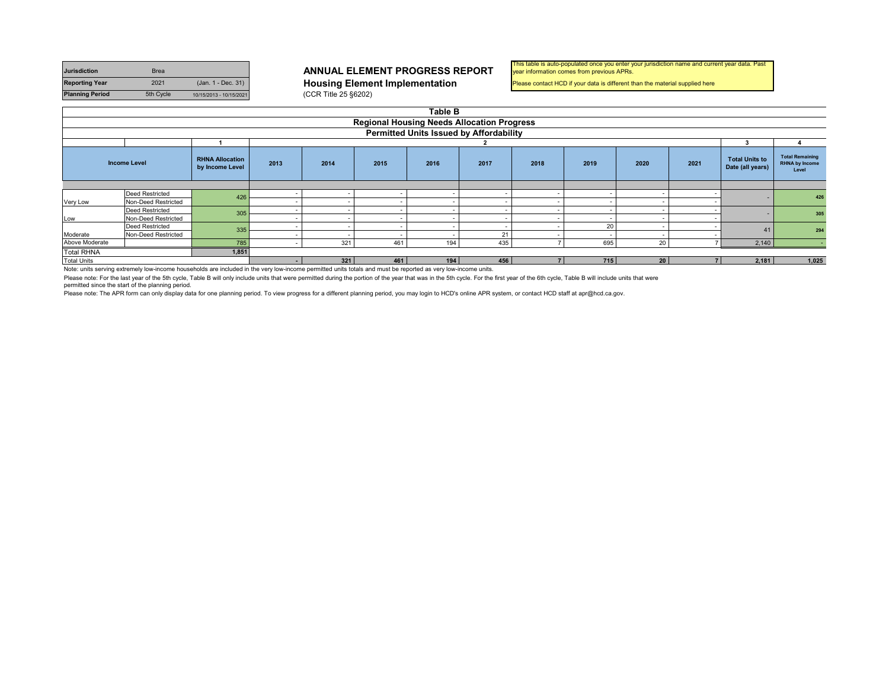| <b>Jurisdiction</b>    | <b>Brea</b> |                         |
|------------------------|-------------|-------------------------|
| <b>Reporting Year</b>  | 2021        | (Jan. 1 - Dec. 31)      |
| <b>Planning Period</b> | 5th Cycle   | 10/15/2013 - 10/15/2021 |

**Housing Element Implementation** (CCR Title 25 §6202)

#### This table is auto-populated once you enter your jurisdiction name and current year data. Past year information comes from previous APRs.

Please contact HCD if your data is different than the material supplied here

|                                                                                                                                                                                                                                                        | Table B                                           |     |                          |                      |          |                          |     |  |     |                 |       |                                           |                                                          |  |  |
|--------------------------------------------------------------------------------------------------------------------------------------------------------------------------------------------------------------------------------------------------------|---------------------------------------------------|-----|--------------------------|----------------------|----------|--------------------------|-----|--|-----|-----------------|-------|-------------------------------------------|----------------------------------------------------------|--|--|
|                                                                                                                                                                                                                                                        | <b>Regional Housing Needs Allocation Progress</b> |     |                          |                      |          |                          |     |  |     |                 |       |                                           |                                                          |  |  |
|                                                                                                                                                                                                                                                        | Permitted Units Issued by Affordability           |     |                          |                      |          |                          |     |  |     |                 |       |                                           |                                                          |  |  |
|                                                                                                                                                                                                                                                        |                                                   |     |                          |                      |          |                          |     |  |     |                 |       |                                           |                                                          |  |  |
| <b>RHNA Allocation</b><br>2013<br>2021<br>2014<br>2016<br>2017<br>2018<br>2019<br>2020<br>2015<br><b>Income Level</b><br>by Income Level                                                                                                               |                                                   |     |                          |                      |          |                          |     |  |     |                 |       | <b>Total Units to</b><br>Date (all years) | <b>Total Remaining</b><br><b>RHNA by Income</b><br>Level |  |  |
|                                                                                                                                                                                                                                                        |                                                   |     |                          |                      |          |                          |     |  |     |                 |       |                                           |                                                          |  |  |
|                                                                                                                                                                                                                                                        | <b>Deed Restricted</b>                            | 426 | $\overline{\phantom{a}}$ |                      |          | -                        |     |  |     |                 |       |                                           | 426                                                      |  |  |
| Very Low                                                                                                                                                                                                                                               | Non-Deed Restricted                               |     |                          |                      |          | -                        |     |  |     |                 |       |                                           |                                                          |  |  |
|                                                                                                                                                                                                                                                        | <b>Deed Restricted</b>                            | 305 | $\overline{\phantom{a}}$ |                      |          | $\overline{\phantom{a}}$ |     |  |     |                 |       |                                           | 305                                                      |  |  |
| Low                                                                                                                                                                                                                                                    | Non-Deed Restricted                               |     | $\overline{\phantom{a}}$ |                      |          |                          |     |  |     |                 |       |                                           |                                                          |  |  |
|                                                                                                                                                                                                                                                        | <b>Deed Restricted</b>                            | 335 | $\sim$                   |                      |          | $\overline{\phantom{a}}$ |     |  | 20  |                 |       |                                           | 294                                                      |  |  |
| 21<br>Moderate<br>Non-Deed Restricted<br>$\overline{\phantom{a}}$<br>-                                                                                                                                                                                 |                                                   |     |                          |                      |          |                          |     |  |     |                 |       |                                           |                                                          |  |  |
| Above Moderate<br>435<br>785<br>695<br>321<br>20 <sub>1</sub><br>461<br>194<br>$\sim$                                                                                                                                                                  |                                                   |     |                          |                      |          |                          |     |  |     |                 | 2,140 |                                           |                                                          |  |  |
| <b>Total RHNA</b><br>1,851                                                                                                                                                                                                                             |                                                   |     |                          |                      |          |                          |     |  |     |                 |       |                                           |                                                          |  |  |
| <b>Total Units</b><br>$\cdots$ . The contract of the contract of the contract of the contract of the contract of the contract of the contract of the contract of the contract of the contract of the contract of the contract of the contract of the c | .                                                 | .   |                          | 321<br>$\cdots$<br>. | 461<br>. | 194                      | 456 |  | 715 | 20 <sup>1</sup> |       | 2,181                                     | 1,025                                                    |  |  |

Note: units serving extremely low-income households are included in the very low-income permitted units totals and must be reported as very low-income units.

Please note: For the last year of the 5th cycle, Table B will only include units that were permitted during the portion of the year that was in the 5th cycle. For the first year of the 6th cycle, Table B will include units

permitted since the start of the planning period.

Please note: The APR form can only display data for one planning period. To view progress for a different planning period, you may login to HCD's online APR system, or contact HCD staff at apr@hcd.ca.gov.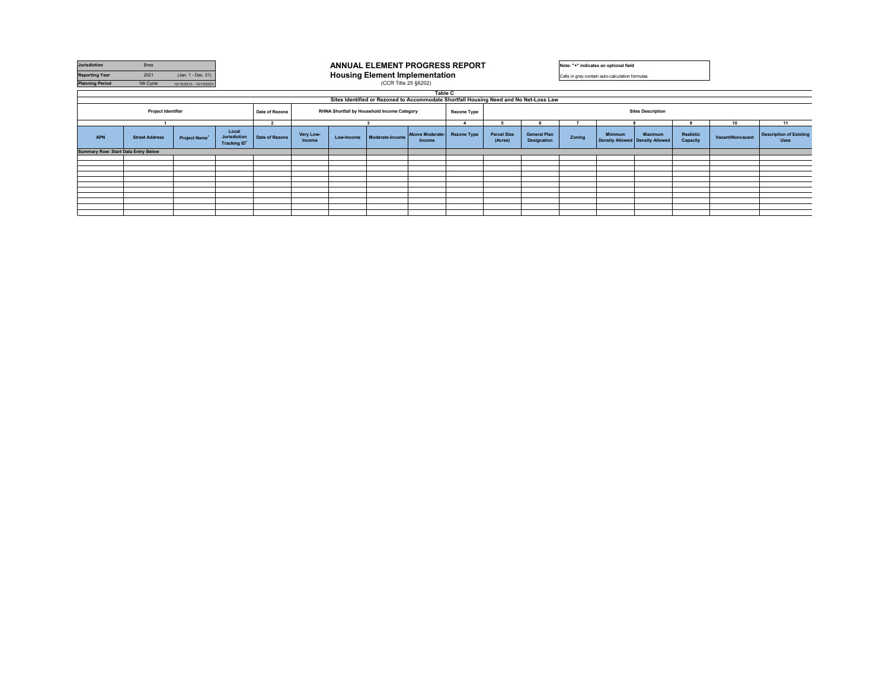| Jurisdiction                                                                                              | Brea                  |                           |                                                          | <b>ANNUAL ELEMENT PROGRESS REPORT</b> |                                                                                   |  |                                                                                       |                          |                               |                                    | Note: "+" indicates an optional field |                |                                                 |                       |                  |                                               |  |
|-----------------------------------------------------------------------------------------------------------|-----------------------|---------------------------|----------------------------------------------------------|---------------------------------------|-----------------------------------------------------------------------------------|--|---------------------------------------------------------------------------------------|--------------------------|-------------------------------|------------------------------------|---------------------------------------|----------------|-------------------------------------------------|-----------------------|------------------|-----------------------------------------------|--|
| <b>Reporting Year</b>                                                                                     | 2021                  | (Jan. 1 - Dec. 31)        |                                                          |                                       |                                                                                   |  | <b>Housing Element Implementation</b>                                                 |                          |                               |                                    |                                       |                | Cells in grey contain auto-calculation formulas |                       |                  |                                               |  |
| <b>Planning Period</b>                                                                                    | 5th Cycle             | 10/15/2013 - 10/15/2021   |                                                          |                                       |                                                                                   |  | (CCR Title 25 §6202)                                                                  |                          |                               |                                    |                                       |                |                                                 |                       |                  |                                               |  |
|                                                                                                           |                       |                           |                                                          |                                       |                                                                                   |  |                                                                                       | Table C                  |                               |                                    |                                       |                |                                                 |                       |                  |                                               |  |
|                                                                                                           |                       |                           |                                                          |                                       |                                                                                   |  | Sites Identified or Rezoned to Accommodate Shortfall Housing Need and No Net-Loss Law |                          |                               |                                    |                                       |                |                                                 |                       |                  |                                               |  |
| Project Identifier<br>RHNA Shortfall by Household Income Category<br>Date of Rezone<br><b>Rezone Type</b> |                       |                           |                                                          |                                       |                                                                                   |  |                                                                                       | <b>Sites Description</b> |                               |                                    |                                       |                |                                                 |                       |                  |                                               |  |
|                                                                                                           |                       |                           |                                                          | $\overline{2}$                        |                                                                                   |  |                                                                                       | 5                        |                               |                                    |                                       |                |                                                 | 10                    | 11               |                                               |  |
| <b>APN</b>                                                                                                | <b>Street Address</b> | Project Name <sup>+</sup> | Local<br><b>Jurisdiction</b><br>Tracking ID <sup>+</sup> | Date of Rezone                        | Very Low-<br>Above Moderate-<br>Moderate-Income<br>Low-Income<br>Income<br>Income |  |                                                                                       | <b>Rezone Type</b>       | <b>Parcel Size</b><br>(Acres) | <b>General Plan</b><br>Designation | Zonina                                | <b>Minimum</b> | Maximum<br>Density Allowed Density Allowed      | Realistic<br>Capacity | Vacant/Nonvacant | <b>Description of Existing</b><br><b>Uses</b> |  |
| <b>Summary Row: Start Data Entry Below</b>                                                                |                       |                           |                                                          |                                       |                                                                                   |  |                                                                                       |                          |                               |                                    |                                       |                |                                                 |                       |                  |                                               |  |
|                                                                                                           |                       |                           |                                                          |                                       |                                                                                   |  |                                                                                       |                          |                               |                                    |                                       |                |                                                 |                       |                  |                                               |  |
|                                                                                                           |                       |                           |                                                          |                                       |                                                                                   |  |                                                                                       |                          |                               |                                    |                                       |                |                                                 |                       |                  |                                               |  |
|                                                                                                           |                       |                           |                                                          |                                       |                                                                                   |  |                                                                                       |                          |                               |                                    |                                       |                |                                                 |                       |                  |                                               |  |
|                                                                                                           |                       |                           |                                                          |                                       |                                                                                   |  |                                                                                       |                          |                               |                                    |                                       |                |                                                 |                       |                  |                                               |  |
|                                                                                                           |                       |                           |                                                          |                                       |                                                                                   |  |                                                                                       |                          |                               |                                    |                                       |                |                                                 |                       |                  |                                               |  |
|                                                                                                           |                       |                           |                                                          |                                       |                                                                                   |  |                                                                                       |                          |                               |                                    |                                       |                |                                                 |                       |                  |                                               |  |
|                                                                                                           |                       |                           |                                                          |                                       |                                                                                   |  |                                                                                       |                          |                               |                                    |                                       |                |                                                 |                       |                  |                                               |  |
|                                                                                                           |                       |                           |                                                          |                                       |                                                                                   |  |                                                                                       |                          |                               |                                    |                                       |                |                                                 |                       |                  |                                               |  |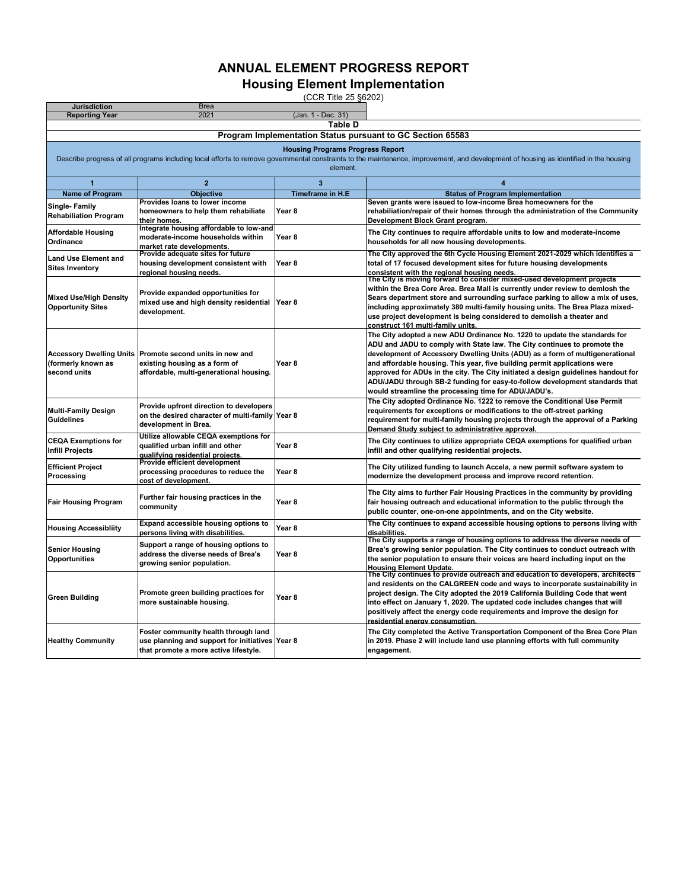**Housing Element Implementation**

|                                                      |                                                                       | (CCR Title 25 §6202)                    |                                                                                                                                                                                       |
|------------------------------------------------------|-----------------------------------------------------------------------|-----------------------------------------|---------------------------------------------------------------------------------------------------------------------------------------------------------------------------------------|
| <b>Jurisdiction</b><br><b>Reporting Year</b>         | <b>Brea</b><br>2021                                                   | (Jan. 1 - Dec. 31)                      |                                                                                                                                                                                       |
|                                                      |                                                                       | Table D                                 |                                                                                                                                                                                       |
|                                                      |                                                                       |                                         | Program Implementation Status pursuant to GC Section 65583                                                                                                                            |
|                                                      |                                                                       |                                         |                                                                                                                                                                                       |
|                                                      |                                                                       | <b>Housing Programs Progress Report</b> | Describe progress of all programs including local efforts to remove governmental constraints to the maintenance, improvement, and development of housing as identified in the housing |
|                                                      |                                                                       | element.                                |                                                                                                                                                                                       |
|                                                      |                                                                       |                                         |                                                                                                                                                                                       |
| 1                                                    | $\overline{2}$                                                        | $\overline{\mathbf{3}}$                 | $\overline{4}$                                                                                                                                                                        |
| <b>Name of Program</b>                               | Objective                                                             | <b>Timeframe in H.E</b>                 | <b>Status of Program Implementation</b>                                                                                                                                               |
| Single-Family                                        | Provides loans to lower income<br>homeowners to help them rehabiliate | Year <sub>8</sub>                       | Seven grants were issued to low-income Brea homeowners for the<br>rehabiliation/repair of their homes through the administration of the Community                                     |
| <b>Rehabiliation Program</b>                         | their homes.                                                          |                                         | Development Block Grant program.                                                                                                                                                      |
|                                                      | Integrate housing affordable to low-and                               |                                         |                                                                                                                                                                                       |
| <b>Affordable Housing</b><br>Ordinance               | moderate-income households within                                     | Year 8                                  | The City continues to require affordable units to low and moderate-income<br>households for all new housing developments.                                                             |
|                                                      | market rate developments.                                             |                                         |                                                                                                                                                                                       |
| <b>Land Use Element and</b>                          | Provide adequate sites for future                                     |                                         | The City approved the 6th Cycle Housing Element 2021-2029 which identifies a                                                                                                          |
| <b>Sites Inventory</b>                               | housing development consistent with<br>regional housing needs.        | Year 8                                  | total of 17 focused development sites for future housing developments                                                                                                                 |
|                                                      |                                                                       |                                         | <u>consistent with the regional housing needs.</u><br>The City is moving forward to consider mixed-used development projects <sup>.</sup>                                             |
|                                                      | Provide expanded opportunities for                                    |                                         | within the Brea Core Area. Brea Mall is currently under review to demlosh the                                                                                                         |
| <b>Mixed Use/High Density</b>                        | mixed use and high density residential                                | Year 8                                  | Sears department store and surrounding surface parking to allow a mix of uses,                                                                                                        |
| <b>Opportunity Sites</b>                             | development.                                                          |                                         | including approximately 380 multi-family housing units. The Brea Plaza mixed-                                                                                                         |
|                                                      |                                                                       |                                         | use project development is being considered to demolish a theater and                                                                                                                 |
|                                                      |                                                                       |                                         | construct 161 multi-family units                                                                                                                                                      |
|                                                      |                                                                       |                                         | The City adopted a new ADU Ordinance No. 1220 to update the standards for<br>ADU and JADU to comply with State law. The City continues to promote the                                 |
|                                                      | Accessory Dwelling Units Promote second units in new and              |                                         | development of Accessory Dwelling Units (ADU) as a form of multigenerational                                                                                                          |
| (formerly known as                                   | existing housing as a form of                                         | Year 8                                  | and affordable housing. This year, five building permit applications were                                                                                                             |
| second units                                         | affordable, multi-generational housing.                               |                                         | approved for ADUs in the city. The City initiated a design guidelines handout for                                                                                                     |
|                                                      |                                                                       |                                         | ADU/JADU through SB-2 funding for easy-to-follow development standards that                                                                                                           |
|                                                      |                                                                       |                                         | would streamline the processing time for ADU/JADU's.                                                                                                                                  |
|                                                      | Provide upfront direction to developers                               |                                         | The City adopted Ordinance No. 1222 to remove the Conditional Use Permit                                                                                                              |
| <b>Multi-Family Design</b>                           | on the desired character of multi-family Year 8                       |                                         | requirements for exceptions or modifications to the off-street parking                                                                                                                |
| <b>Guidelines</b>                                    | development in Brea.                                                  |                                         | requirement for multi-family housing projects through the approval of a Parking<br>Demand Study subject to administrative approval.                                                   |
|                                                      | Utilize allowable CEQA exemptions for                                 |                                         |                                                                                                                                                                                       |
| <b>CEQA Exemptions for</b><br><b>Infill Projects</b> | qualified urban infill and other                                      | Year <sub>8</sub>                       | The City continues to utilize appropriate CEQA exemptions for qualified urban<br>infill and other qualifying residential projects.                                                    |
|                                                      | qualifying residential projects.                                      |                                         |                                                                                                                                                                                       |
| <b>Efficient Project</b>                             | Provide efficient development                                         |                                         | The City utilized funding to launch Accela, a new permit software system to                                                                                                           |
| Processing                                           | processing procedures to reduce the<br>cost of development.           | Year 8                                  | modernize the development process and improve record retention.                                                                                                                       |
|                                                      |                                                                       |                                         |                                                                                                                                                                                       |
| <b>Fair Housing Program</b>                          | Further fair housing practices in the                                 | Year 8                                  | The City aims to further Fair Housing Practices in the community by providing<br>fair housing outreach and educational information to the public through the                          |
|                                                      | community                                                             |                                         | public counter, one-on-one appointments, and on the City website.                                                                                                                     |
|                                                      | Expand accessible housing options to                                  |                                         | The City continues to expand accessible housing options to persons living with                                                                                                        |
| <b>Housing Accessibliity</b>                         | persons living with disabilities.                                     | Year 8                                  | disabilities.                                                                                                                                                                         |
|                                                      | Support a range of housing options to                                 |                                         | The City supports a range of housing options to address the diverse needs of                                                                                                          |
| <b>Senior Housing</b>                                | address the diverse needs of Brea's                                   | Year 8                                  | Brea's growing senior population. The City continues to conduct outreach with                                                                                                         |
| Opportunities                                        | growing senior population.                                            |                                         | the senior population to ensure their voices are heard including input on the                                                                                                         |
|                                                      |                                                                       |                                         | <b>Housing Element Update.</b><br>The City continues to provide outreach and education to developers, architects                                                                      |
|                                                      |                                                                       |                                         | and residents on the CALGREEN code and ways to incorporate sustainability in                                                                                                          |
|                                                      | Promote green building practices for                                  | Year 8                                  | project design. The City adopted the 2019 California Building Code that went                                                                                                          |
| <b>Green Building</b>                                | more sustainable housing.                                             |                                         | into effect on January 1, 2020. The updated code includes changes that will                                                                                                           |
|                                                      |                                                                       |                                         | positively affect the energy code requirements and improve the design for                                                                                                             |
|                                                      |                                                                       |                                         | residential energy consumption                                                                                                                                                        |
|                                                      | Foster community health through land                                  |                                         | The City completed the Active Transportation Component of the Brea Core Plan                                                                                                          |
| <b>Healthy Community</b>                             | use planning and support for initiatives Year 8                       |                                         | in 2019. Phase 2 will include land use planning efforts with full community                                                                                                           |
|                                                      | that promote a more active lifestyle.                                 |                                         | engagement.                                                                                                                                                                           |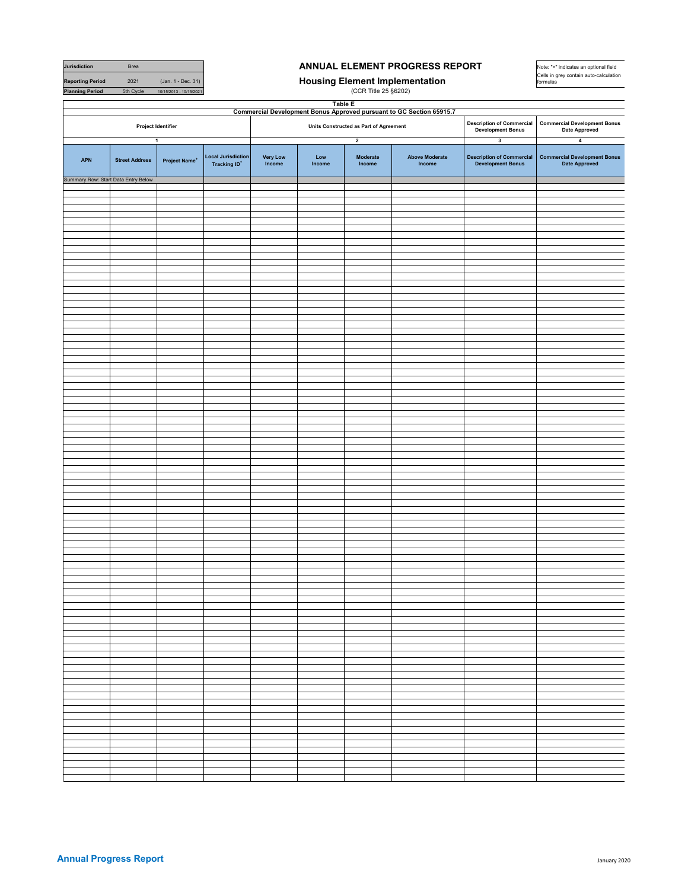| Jurisdiction                        | Brea                  |                           |                                                  | ANNUAL ELEMENT PROGRESS REPORT | Note: "+" indicates an optional field |                                        |                                                                      |                                                              |                                                             |
|-------------------------------------|-----------------------|---------------------------|--------------------------------------------------|--------------------------------|---------------------------------------|----------------------------------------|----------------------------------------------------------------------|--------------------------------------------------------------|-------------------------------------------------------------|
| <b>Reporting Period</b>             | 2021                  | (Jan. 1 - Dec. 31)        |                                                  |                                |                                       |                                        | <b>Housing Element Implementation</b>                                |                                                              | Cells in grey contain auto-calculation<br>formulas          |
| <b>Planning Period</b>              | 5th Cycle             | 10/15/2013 - 10/15/2021   |                                                  |                                |                                       | (CCR Title 25 §6202)                   |                                                                      |                                                              |                                                             |
|                                     |                       |                           |                                                  |                                | <b>Table E</b>                        |                                        |                                                                      |                                                              |                                                             |
|                                     |                       |                           |                                                  |                                |                                       |                                        | Commercial Development Bonus Approved pursuant to GC Section 65915.7 |                                                              |                                                             |
|                                     | Project Identifier    |                           |                                                  |                                |                                       | Units Constructed as Part of Agreement |                                                                      | <b>Description of Commercial</b><br><b>Development Bonus</b> | <b>Commercial Development Bonus</b><br><b>Date Approved</b> |
|                                     | $\mathbf{1}$          |                           |                                                  |                                |                                       | $\overline{2}$                         |                                                                      | $\overline{\mathbf{3}}$                                      | $\overline{\mathbf{4}}$                                     |
| <b>APN</b>                          | <b>Street Address</b> | Project Name <sup>+</sup> | <b>Local Jurisdiction</b><br><b>Tracking ID*</b> | <b>Very Low</b><br>$Income$    | Low<br>Income                         | Moderate<br>Income                     | <b>Above Moderate</b><br>Income                                      | <b>Description of Commercial</b><br><b>Development Bonus</b> | <b>Commercial Development Bonus</b><br><b>Date Approved</b> |
| Summary Row: Start Data Entry Below |                       |                           |                                                  |                                |                                       |                                        |                                                                      |                                                              |                                                             |
|                                     |                       |                           |                                                  |                                |                                       |                                        |                                                                      |                                                              |                                                             |
|                                     |                       |                           |                                                  |                                |                                       |                                        |                                                                      |                                                              |                                                             |
|                                     |                       |                           |                                                  |                                |                                       |                                        |                                                                      |                                                              |                                                             |
|                                     |                       |                           |                                                  |                                |                                       |                                        |                                                                      |                                                              |                                                             |
|                                     |                       |                           |                                                  |                                |                                       |                                        |                                                                      |                                                              |                                                             |
|                                     |                       |                           |                                                  |                                |                                       |                                        |                                                                      |                                                              |                                                             |
|                                     |                       |                           |                                                  |                                |                                       |                                        |                                                                      |                                                              |                                                             |
|                                     |                       |                           |                                                  |                                |                                       |                                        |                                                                      |                                                              |                                                             |
|                                     |                       |                           |                                                  |                                |                                       |                                        |                                                                      |                                                              |                                                             |
|                                     |                       |                           |                                                  |                                |                                       |                                        |                                                                      |                                                              |                                                             |
|                                     |                       |                           |                                                  |                                |                                       |                                        |                                                                      |                                                              |                                                             |
|                                     |                       |                           |                                                  |                                |                                       |                                        |                                                                      |                                                              |                                                             |
|                                     |                       |                           |                                                  |                                |                                       |                                        |                                                                      |                                                              |                                                             |
|                                     |                       |                           |                                                  |                                |                                       |                                        |                                                                      |                                                              |                                                             |
|                                     |                       |                           |                                                  |                                |                                       |                                        |                                                                      |                                                              |                                                             |
|                                     |                       |                           |                                                  |                                |                                       |                                        |                                                                      |                                                              |                                                             |
|                                     |                       |                           |                                                  |                                |                                       |                                        |                                                                      |                                                              |                                                             |
|                                     |                       |                           |                                                  |                                |                                       |                                        |                                                                      |                                                              |                                                             |
|                                     |                       |                           |                                                  |                                |                                       |                                        |                                                                      |                                                              |                                                             |
|                                     |                       |                           |                                                  |                                |                                       |                                        |                                                                      |                                                              |                                                             |
|                                     |                       |                           |                                                  |                                |                                       |                                        |                                                                      |                                                              |                                                             |
|                                     |                       |                           |                                                  |                                |                                       |                                        |                                                                      |                                                              |                                                             |
|                                     |                       |                           |                                                  |                                |                                       |                                        |                                                                      |                                                              |                                                             |
|                                     |                       |                           |                                                  |                                |                                       |                                        |                                                                      |                                                              |                                                             |
|                                     |                       |                           |                                                  |                                |                                       |                                        |                                                                      |                                                              |                                                             |
|                                     |                       |                           |                                                  |                                |                                       |                                        |                                                                      |                                                              |                                                             |
|                                     |                       |                           |                                                  |                                |                                       |                                        |                                                                      |                                                              |                                                             |
|                                     |                       |                           |                                                  |                                |                                       |                                        |                                                                      |                                                              |                                                             |
|                                     |                       |                           |                                                  |                                |                                       |                                        |                                                                      |                                                              |                                                             |
|                                     |                       |                           |                                                  |                                |                                       |                                        |                                                                      |                                                              |                                                             |
|                                     |                       |                           |                                                  |                                |                                       |                                        |                                                                      |                                                              |                                                             |
|                                     |                       |                           |                                                  |                                |                                       |                                        |                                                                      |                                                              |                                                             |
|                                     |                       |                           |                                                  |                                |                                       |                                        |                                                                      |                                                              |                                                             |
|                                     |                       |                           |                                                  |                                |                                       |                                        |                                                                      |                                                              |                                                             |
|                                     |                       |                           |                                                  |                                |                                       |                                        |                                                                      |                                                              |                                                             |
|                                     |                       |                           |                                                  |                                |                                       |                                        |                                                                      |                                                              |                                                             |
|                                     |                       |                           |                                                  |                                |                                       |                                        |                                                                      |                                                              |                                                             |
|                                     |                       |                           |                                                  |                                |                                       |                                        |                                                                      |                                                              |                                                             |
|                                     |                       |                           |                                                  |                                |                                       |                                        |                                                                      |                                                              |                                                             |
|                                     |                       |                           |                                                  |                                |                                       |                                        |                                                                      |                                                              |                                                             |
|                                     |                       |                           |                                                  |                                |                                       |                                        |                                                                      |                                                              |                                                             |
|                                     |                       |                           |                                                  |                                |                                       |                                        |                                                                      |                                                              |                                                             |
|                                     |                       |                           |                                                  |                                |                                       |                                        |                                                                      |                                                              |                                                             |
|                                     |                       |                           |                                                  |                                |                                       |                                        |                                                                      |                                                              |                                                             |
|                                     |                       |                           |                                                  |                                |                                       |                                        |                                                                      |                                                              |                                                             |
|                                     |                       |                           |                                                  |                                |                                       |                                        |                                                                      |                                                              |                                                             |
|                                     |                       |                           |                                                  |                                |                                       |                                        |                                                                      |                                                              |                                                             |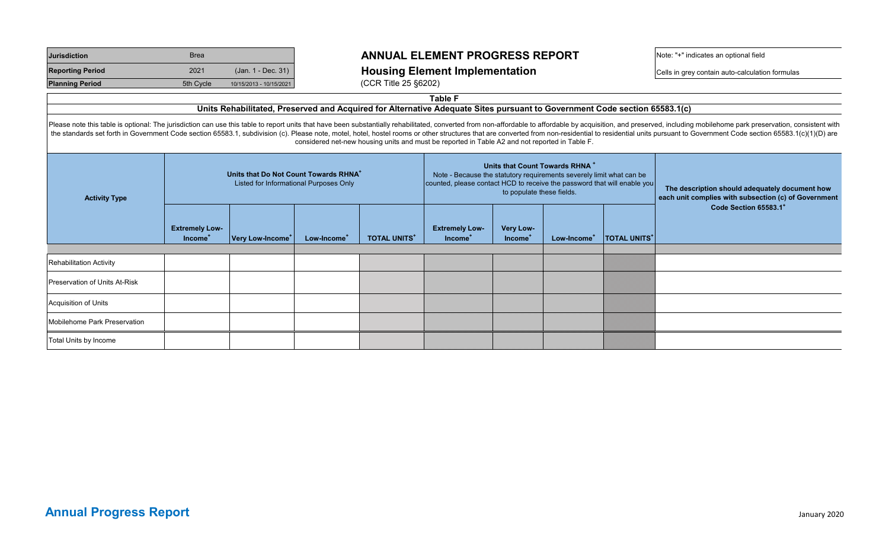| <b>Jurisdiction</b>     | <b>Brea</b> |                         |
|-------------------------|-------------|-------------------------|
| <b>Reporting Period</b> | 2021        | (Jan. 1 - Dec. 31)      |
| <b>Planning Period</b>  | 5th Cycle   | 10/15/2013 - 10/15/2021 |

### **Reporting Period** <sup>2021</sup> (Jan. 1 - Dec. 31) **Housing Element Implementation** Cells in grey contain auto-calculation formulas

Note: "+" indicates an optional field

**(CCR Title 25 §6202)** 

**Table F** 

## **Units Rehabilitated, Preserved and Acquired for Alternative Adequate Sites pursuant to Government Code section 65583.1(c)**

Please note this table is optional: The jurisdiction can use this table to report units that have been substantially rehabilitated, converted from non-affordable to affordable by acquisition, and preserved, including mobil the standards set forth in Government Code section 65583.1, subdivision (c). Please note, motel, hotel, hostel rooms or other structures that are converted from non-residential to residential units pursuant to Government C considered net-new housing units and must be reported in Table A2 and not reported in Table F.

| <b>Activity Type</b>           |                                              | Units that Do Not Count Towards RHNA <sup>+</sup> | Listed for Informational Purposes Only |                    | Note - Because the statutory requirements severely limit what can be<br>counted, please contact HCD to receive the password that will enable you | to populate these fields.        | Units that Count Towards RHNA <sup>+</sup> |                    | The description should adequately document how<br>each unit complies with subsection (c) of Government |
|--------------------------------|----------------------------------------------|---------------------------------------------------|----------------------------------------|--------------------|--------------------------------------------------------------------------------------------------------------------------------------------------|----------------------------------|--------------------------------------------|--------------------|--------------------------------------------------------------------------------------------------------|
|                                | <b>Extremely Low-</b><br>Income <sup>T</sup> | Very Low-Income <sup>+</sup>                      | Low-Income <sup>+</sup>                | <b>TOTAL UNITS</b> | <b>Extremely Low-</b><br>Income <sup>T</sup>                                                                                                     | Very Low-<br>Income <sup>+</sup> | Low-Income <sup>+</sup>                    | <b>TOTAL UNITS</b> | Code Section 65583.1 <sup>+</sup>                                                                      |
|                                |                                              |                                                   |                                        |                    |                                                                                                                                                  |                                  |                                            |                    |                                                                                                        |
| <b>Rehabilitation Activity</b> |                                              |                                                   |                                        |                    |                                                                                                                                                  |                                  |                                            |                    |                                                                                                        |
| Preservation of Units At-Risk  |                                              |                                                   |                                        |                    |                                                                                                                                                  |                                  |                                            |                    |                                                                                                        |
| Acquisition of Units           |                                              |                                                   |                                        |                    |                                                                                                                                                  |                                  |                                            |                    |                                                                                                        |
| Mobilehome Park Preservation   |                                              |                                                   |                                        |                    |                                                                                                                                                  |                                  |                                            |                    |                                                                                                        |
| Total Units by Income          |                                              |                                                   |                                        |                    |                                                                                                                                                  |                                  |                                            |                    |                                                                                                        |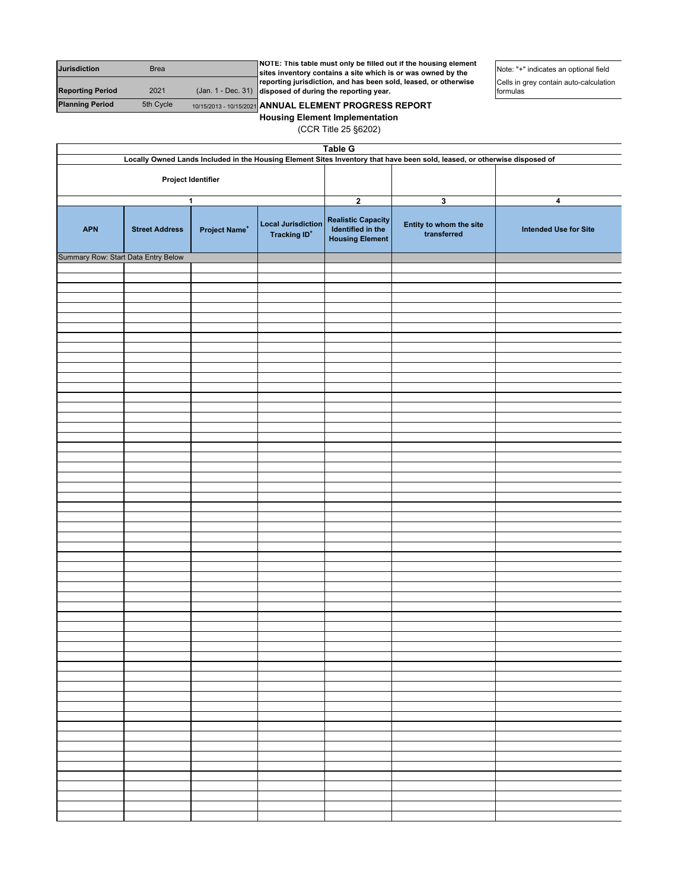| <b>Jurisdiction</b>     | <b>Brea</b> | NOTE: This table must only be filled out if the housing element<br>sites inventory contains a site which is or was owned by the | Note: "+" indicates an optional field              |
|-------------------------|-------------|---------------------------------------------------------------------------------------------------------------------------------|----------------------------------------------------|
| <b>Reporting Period</b> | 2021        | reporting jurisdiction, and has been sold, leased, or otherwise<br>$($ Jan. 1 - Dec. 31) disposed of during the reporting year. | Cells in grey contain auto-calculation<br>formulas |
| <b>Planning Period</b>  | 5th Cycle   | 10/15/2013 - 10/15/2021 ANNUAL ELEMENT PROGRESS REPORT                                                                          |                                                    |

**Housing Element Implementation** (CCR Title 25 §6202)

| <b>Table G</b>                      |                                                                                                                           |                           |                                                       |                                                                          |                                        |                              |
|-------------------------------------|---------------------------------------------------------------------------------------------------------------------------|---------------------------|-------------------------------------------------------|--------------------------------------------------------------------------|----------------------------------------|------------------------------|
|                                     | Locally Owned Lands Included in the Housing Element Sites Inventory that have been sold, leased, or otherwise disposed of |                           |                                                       |                                                                          |                                        |                              |
|                                     | Project Identifier                                                                                                        |                           |                                                       |                                                                          |                                        |                              |
|                                     |                                                                                                                           | 1                         |                                                       | $\boldsymbol{2}$                                                         | 3                                      | 4                            |
| <b>APN</b>                          | <b>Street Address</b>                                                                                                     | Project Name <sup>+</sup> | <b>Local Jurisdiction</b><br>Tracking ID <sup>+</sup> | <b>Realistic Capacity</b><br>Identified in the<br><b>Housing Element</b> | Entity to whom the site<br>transferred | <b>Intended Use for Site</b> |
| Summary Row: Start Data Entry Below |                                                                                                                           |                           |                                                       |                                                                          |                                        |                              |
|                                     |                                                                                                                           |                           |                                                       |                                                                          |                                        |                              |
|                                     |                                                                                                                           |                           |                                                       |                                                                          |                                        |                              |
|                                     |                                                                                                                           |                           |                                                       |                                                                          |                                        |                              |
|                                     |                                                                                                                           |                           |                                                       |                                                                          |                                        |                              |
|                                     |                                                                                                                           |                           |                                                       |                                                                          |                                        |                              |
|                                     |                                                                                                                           |                           |                                                       |                                                                          |                                        |                              |
|                                     |                                                                                                                           |                           |                                                       |                                                                          |                                        |                              |
|                                     |                                                                                                                           |                           |                                                       |                                                                          |                                        |                              |
|                                     |                                                                                                                           |                           |                                                       |                                                                          |                                        |                              |
|                                     |                                                                                                                           |                           |                                                       |                                                                          |                                        |                              |
|                                     |                                                                                                                           |                           |                                                       |                                                                          |                                        |                              |
|                                     |                                                                                                                           |                           |                                                       |                                                                          |                                        |                              |
|                                     |                                                                                                                           |                           |                                                       |                                                                          |                                        |                              |
|                                     |                                                                                                                           |                           |                                                       |                                                                          |                                        |                              |
|                                     |                                                                                                                           |                           |                                                       |                                                                          |                                        |                              |
|                                     |                                                                                                                           |                           |                                                       |                                                                          |                                        |                              |
|                                     |                                                                                                                           |                           |                                                       |                                                                          |                                        |                              |
|                                     |                                                                                                                           |                           |                                                       |                                                                          |                                        |                              |
|                                     |                                                                                                                           |                           |                                                       |                                                                          |                                        |                              |
|                                     |                                                                                                                           |                           |                                                       |                                                                          |                                        |                              |
|                                     |                                                                                                                           |                           |                                                       |                                                                          |                                        |                              |
|                                     |                                                                                                                           |                           |                                                       |                                                                          |                                        |                              |
|                                     |                                                                                                                           |                           |                                                       |                                                                          |                                        |                              |
|                                     |                                                                                                                           |                           |                                                       |                                                                          |                                        |                              |
|                                     |                                                                                                                           |                           |                                                       |                                                                          |                                        |                              |
|                                     |                                                                                                                           |                           |                                                       |                                                                          |                                        |                              |
|                                     |                                                                                                                           |                           |                                                       |                                                                          |                                        |                              |
|                                     |                                                                                                                           |                           |                                                       |                                                                          |                                        |                              |
|                                     |                                                                                                                           |                           |                                                       |                                                                          |                                        |                              |
|                                     |                                                                                                                           |                           |                                                       |                                                                          |                                        |                              |
|                                     |                                                                                                                           |                           |                                                       |                                                                          |                                        |                              |
|                                     |                                                                                                                           |                           |                                                       |                                                                          |                                        |                              |
|                                     |                                                                                                                           |                           |                                                       |                                                                          |                                        |                              |
|                                     |                                                                                                                           |                           |                                                       |                                                                          |                                        |                              |
|                                     |                                                                                                                           |                           |                                                       |                                                                          |                                        |                              |
|                                     |                                                                                                                           |                           |                                                       |                                                                          |                                        |                              |
|                                     |                                                                                                                           |                           |                                                       |                                                                          |                                        |                              |
|                                     |                                                                                                                           |                           |                                                       |                                                                          |                                        |                              |
|                                     |                                                                                                                           |                           |                                                       |                                                                          |                                        |                              |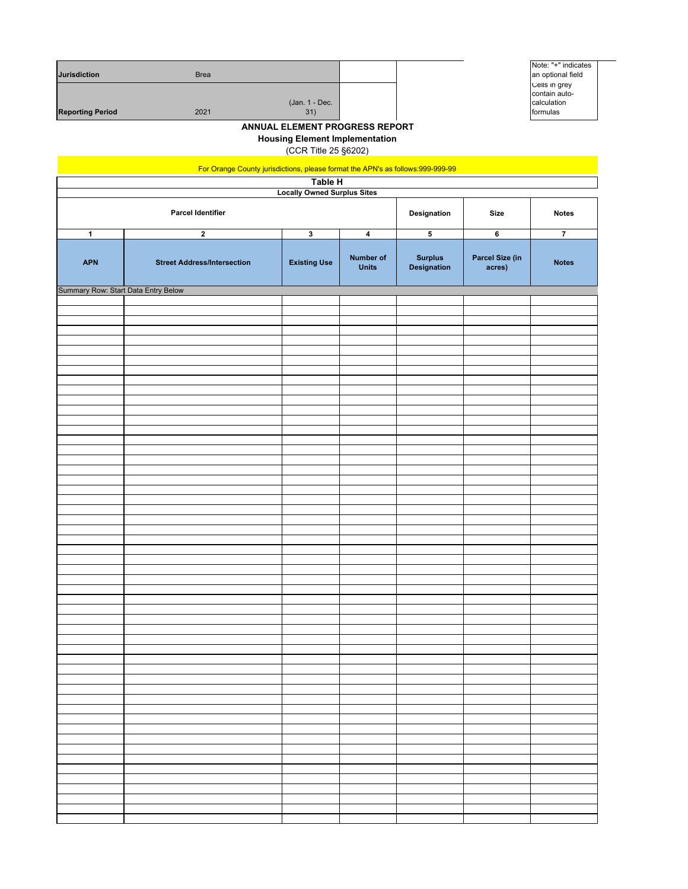| <b>Jurisdiction</b>     | <b>Brea</b> |                       |  |
|-------------------------|-------------|-----------------------|--|
| <b>Reporting Period</b> | 2021        | (Jan. 1 - Dec.<br>31) |  |



**Housing Element Implementation**

(CCR Title 25 §6202)

| For Orange County jurisdictions, please format the APN's as follows:999-999-99 |                                    |                         |                                  |                               |                           |                |
|--------------------------------------------------------------------------------|------------------------------------|-------------------------|----------------------------------|-------------------------------|---------------------------|----------------|
|                                                                                |                                    | Table H                 |                                  |                               |                           |                |
| <b>Locally Owned Surplus Sites</b>                                             |                                    |                         |                                  |                               |                           |                |
|                                                                                | <b>Parcel Identifier</b>           |                         |                                  | Designation                   | Size                      | <b>Notes</b>   |
| $\mathbf{1}$                                                                   | $\mathbf 2$                        | $\overline{\mathbf{3}}$ | $\pmb{4}$                        | ${\bf 5}$                     | 6                         | $\overline{7}$ |
| <b>APN</b>                                                                     | <b>Street Address/Intersection</b> | <b>Existing Use</b>     | <b>Number of</b><br><b>Units</b> | <b>Surplus</b><br>Designation | Parcel Size (in<br>acres) | <b>Notes</b>   |
| Summary Row: Start Data Entry Below                                            |                                    |                         |                                  |                               |                           |                |
|                                                                                |                                    |                         |                                  |                               |                           |                |
|                                                                                |                                    |                         |                                  |                               |                           |                |
|                                                                                |                                    |                         |                                  |                               |                           |                |
|                                                                                |                                    |                         |                                  |                               |                           |                |
|                                                                                |                                    |                         |                                  |                               |                           |                |
|                                                                                |                                    |                         |                                  |                               |                           |                |
|                                                                                |                                    |                         |                                  |                               |                           |                |
|                                                                                |                                    |                         |                                  |                               |                           |                |
|                                                                                |                                    |                         |                                  |                               |                           |                |
|                                                                                |                                    |                         |                                  |                               |                           |                |
|                                                                                |                                    |                         |                                  |                               |                           |                |
|                                                                                |                                    |                         |                                  |                               |                           |                |
|                                                                                |                                    |                         |                                  |                               |                           |                |
|                                                                                |                                    |                         |                                  |                               |                           |                |
|                                                                                |                                    |                         |                                  |                               |                           |                |
|                                                                                |                                    |                         |                                  |                               |                           |                |
|                                                                                |                                    |                         |                                  |                               |                           |                |
|                                                                                |                                    |                         |                                  |                               |                           |                |
|                                                                                |                                    |                         |                                  |                               |                           |                |
|                                                                                |                                    |                         |                                  |                               |                           |                |
|                                                                                |                                    |                         |                                  |                               |                           |                |
|                                                                                |                                    |                         |                                  |                               |                           |                |
|                                                                                |                                    |                         |                                  |                               |                           |                |
|                                                                                |                                    |                         |                                  |                               |                           |                |
|                                                                                |                                    |                         |                                  |                               |                           |                |
|                                                                                |                                    |                         |                                  |                               |                           |                |
|                                                                                |                                    |                         |                                  |                               |                           |                |
|                                                                                |                                    |                         |                                  |                               |                           |                |
|                                                                                |                                    |                         |                                  |                               |                           |                |
|                                                                                |                                    |                         |                                  |                               |                           |                |
|                                                                                |                                    |                         |                                  |                               |                           |                |
|                                                                                |                                    |                         |                                  |                               |                           |                |
|                                                                                |                                    |                         |                                  |                               |                           |                |
|                                                                                |                                    |                         |                                  |                               |                           |                |
|                                                                                |                                    |                         |                                  |                               |                           |                |
|                                                                                |                                    |                         |                                  |                               |                           |                |
|                                                                                |                                    |                         |                                  |                               |                           |                |
|                                                                                |                                    |                         |                                  |                               |                           |                |
|                                                                                |                                    |                         |                                  |                               |                           |                |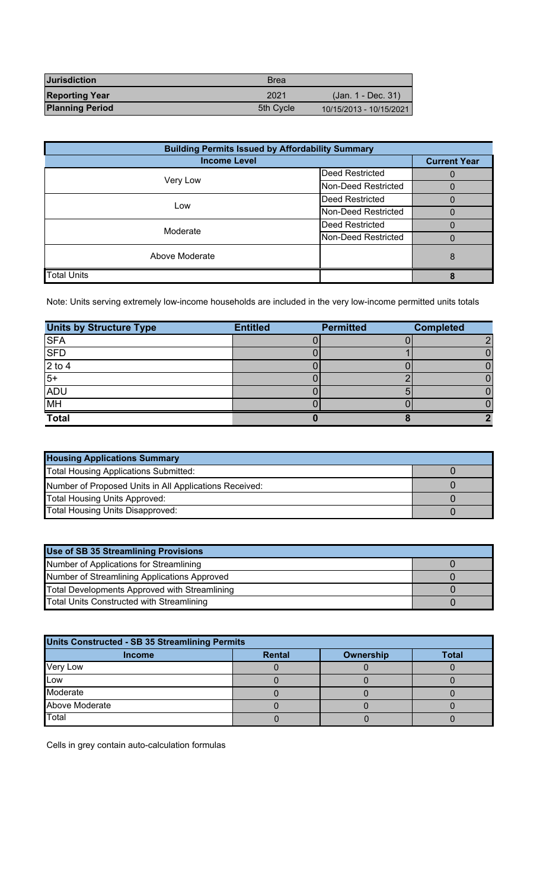| <b>Jurisdiction</b>    | <b>Brea</b> |                         |
|------------------------|-------------|-------------------------|
| <b>Reporting Year</b>  | 2021        | (Jan. 1 - Dec. 31)      |
| <b>Planning Period</b> | 5th Cycle   | 10/15/2013 - 10/15/2021 |

| <b>Building Permits Issued by Affordability Summary</b> |                        |                     |  |  |
|---------------------------------------------------------|------------------------|---------------------|--|--|
| <b>Income Level</b>                                     |                        | <b>Current Year</b> |  |  |
|                                                         | <b>Deed Restricted</b> |                     |  |  |
| Very Low                                                | Non-Deed Restricted    |                     |  |  |
| Low                                                     | Deed Restricted        |                     |  |  |
|                                                         | Non-Deed Restricted    |                     |  |  |
| Moderate                                                | Deed Restricted        |                     |  |  |
|                                                         | Non-Deed Restricted    |                     |  |  |
| Above Moderate                                          |                        | 8                   |  |  |
| <b>Total Units</b>                                      |                        |                     |  |  |

Note: Units serving extremely low-income households are included in the very low-income permitted units totals

| <b>Units by Structure Type</b> | <b>Entitled</b> | <b>Permitted</b> | <b>Completed</b> |
|--------------------------------|-----------------|------------------|------------------|
| <b>SFA</b>                     |                 |                  | ∩                |
| <b>SFD</b>                     |                 |                  |                  |
| $2$ to $4$                     |                 |                  |                  |
| $5+$                           |                 |                  |                  |
| <b>ADU</b>                     |                 |                  |                  |
| <b>MH</b>                      |                 |                  |                  |
| <b>Total</b>                   |                 |                  |                  |

| <b>Housing Applications Summary</b>                    |  |  |  |
|--------------------------------------------------------|--|--|--|
| <b>Total Housing Applications Submitted:</b>           |  |  |  |
| Number of Proposed Units in All Applications Received: |  |  |  |
| <b>Total Housing Units Approved:</b>                   |  |  |  |
| Total Housing Units Disapproved:                       |  |  |  |

| Use of SB 35 Streamlining Provisions          |  |  |  |
|-----------------------------------------------|--|--|--|
| Number of Applications for Streamlining       |  |  |  |
| Number of Streamlining Applications Approved  |  |  |  |
| Total Developments Approved with Streamlining |  |  |  |
| Total Units Constructed with Streamlining     |  |  |  |

| <b>Units Constructed - SB 35 Streamlining Permits</b> |               |           |              |  |  |
|-------------------------------------------------------|---------------|-----------|--------------|--|--|
| <b>Income</b>                                         | <b>Rental</b> | Ownership | <b>Total</b> |  |  |
| Very Low                                              |               |           |              |  |  |
| <b>Low</b>                                            |               |           |              |  |  |
| Moderate                                              |               |           |              |  |  |
| Above Moderate                                        |               |           |              |  |  |
| Total                                                 |               |           |              |  |  |

Cells in grey contain auto-calculation formulas